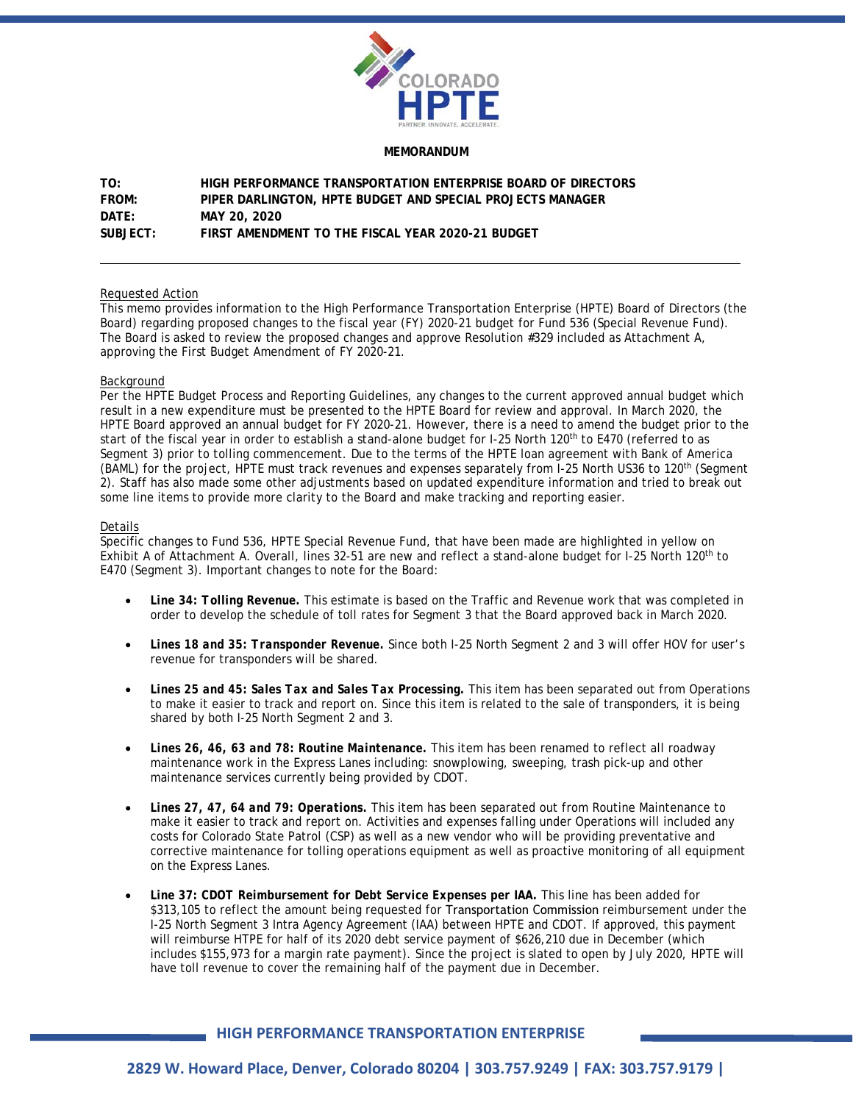

#### **MEMORANDUM**

| TO:          | HIGH PERFORMANCE TRANSPORTATION ENTERPRISE BOARD OF DIRECTORS |
|--------------|---------------------------------------------------------------|
| <b>FROM:</b> | PIPER DARLINGTON, HPTE BUDGET AND SPECIAL PROJECTS MANAGER    |
| DATF:        | MAY 20, 2020                                                  |
| SUBJECT:     | FIRST AMENDMENT TO THE FISCAL YEAR 2020-21 BUDGET             |

### Requested Action

This memo provides information to the High Performance Transportation Enterprise (HPTE) Board of Directors (the Board) regarding proposed changes to the fiscal year (FY) 2020-21 budget for Fund 536 (Special Revenue Fund). The Board is asked to review the proposed changes and approve Resolution #329 included as Attachment A, approving the First Budget Amendment of FY 2020-21.

### Background

Per the HPTE Budget Process and Reporting Guidelines, any changes to the current approved annual budget which result in a new expenditure must be presented to the HPTE Board for review and approval. In March 2020, the HPTE Board approved an annual budget for FY 2020-21. However, there is a need to amend the budget prior to the start of the fiscal year in order to establish a stand-alone budget for I-25 North 120<sup>th</sup> to E470 (referred to as Segment 3) prior to tolling commencement. Due to the terms of the HPTE loan agreement with Bank of America (BAML) for the project, HPTE must track revenues and expenses separately from I-25 North US36 to 120th (Segment 2). Staff has also made some other adjustments based on updated expenditure information and tried to break out some line items to provide more clarity to the Board and make tracking and reporting easier.

## **Details**

Specific changes to Fund 536, HPTE Special Revenue Fund, that have been made are highlighted in yellow on Exhibit A of Attachment A. Overall, lines 32-51 are new and reflect a stand-alone budget for I-25 North 120<sup>th</sup> to E470 (Segment 3). Important changes to note for the Board:

- *Line 34: Tolling Revenue.* This estimate is based on the Traffic and Revenue work that was completed in order to develop the schedule of toll rates for Segment 3 that the Board approved back in March 2020.
- *Lines 18 and 35: Transponder Revenue.* Since both I-25 North Segment 2 and 3 will offer HOV for user's revenue for transponders will be shared.
- *Lines 25 and 45: Sales Tax and Sales Tax Processing.* This item has been separated out from Operations to make it easier to track and report on. Since this item is related to the sale of transponders, it is being shared by both I-25 North Segment 2 and 3.
- *Lines 26, 46, 63 and 78: Routine Maintenance.* This item has been renamed to reflect all roadway maintenance work in the Express Lanes including: snowplowing, sweeping, trash pick-up and other maintenance services currently being provided by CDOT.
- *Lines 27, 47, 64 and 79: Operations.* This item has been separated out from Routine Maintenance to make it easier to track and report on. Activities and expenses falling under Operations will included any costs for Colorado State Patrol (CSP) as well as a new vendor who will be providing preventative and corrective maintenance for tolling operations equipment as well as proactive monitoring of all equipment on the Express Lanes.
- *Line 37: CDOT Reimbursement for Debt Service Expenses per IAA.* This line has been added for \$313,105 to reflect the amount being requested for Transportation Commission reimbursement under the I-25 North Segment 3 Intra Agency Agreement (IAA) between HPTE and CDOT. If approved, this payment will reimburse HTPE for half of its 2020 debt service payment of \$626,210 due in December (which includes \$155,973 for a margin rate payment). Since the project is slated to open by July 2020, HPTE will have toll revenue to cover the remaining half of the payment due in December.

# **HIGH PERFORMANCE TRANSPORTATION ENTERPRISE**